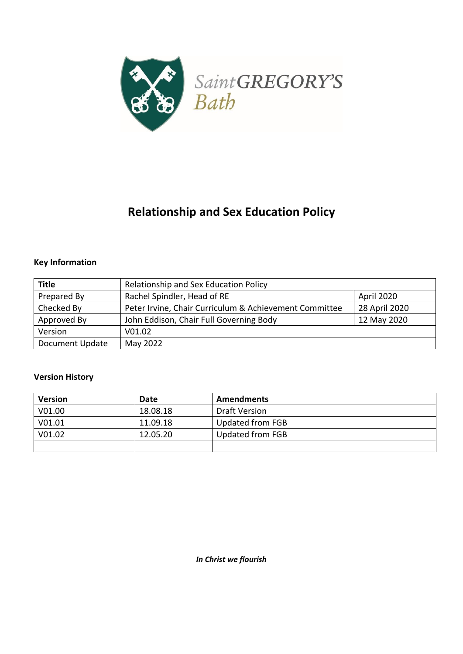

# **Relationship and Sex Education Policy**

# **Key Information**

| <b>Title</b>    | Relationship and Sex Education Policy                                   |             |
|-----------------|-------------------------------------------------------------------------|-------------|
| Prepared By     | Rachel Spindler, Head of RE<br>April 2020                               |             |
| Checked By      | Peter Irvine, Chair Curriculum & Achievement Committee<br>28 April 2020 |             |
| Approved By     | John Eddison, Chair Full Governing Body                                 | 12 May 2020 |
| Version         | V01.02                                                                  |             |
| Document Update | May 2022                                                                |             |

## **Version History**

| <b>Version</b> | Date     | Amendments           |
|----------------|----------|----------------------|
| V01.00         | 18.08.18 | <b>Draft Version</b> |
| V01.01         | 11.09.18 | Updated from FGB     |
| V01.02         | 12.05.20 | Updated from FGB     |
|                |          |                      |

*In Christ we flourish*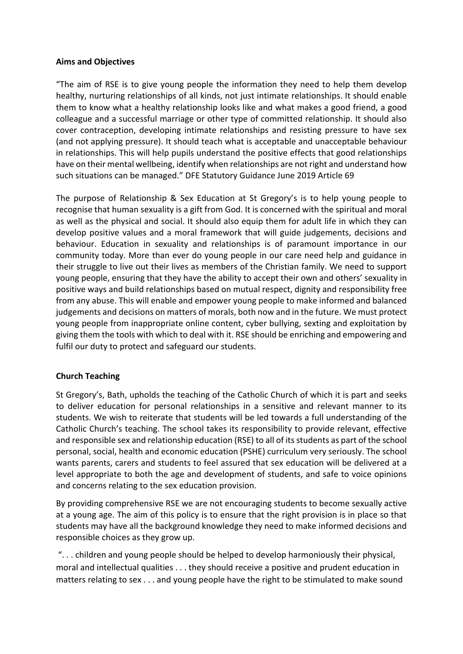#### **Aims and Objectives**

"The aim of RSE is to give young people the information they need to help them develop healthy, nurturing relationships of all kinds, not just intimate relationships. It should enable them to know what a healthy relationship looks like and what makes a good friend, a good colleague and a successful marriage or other type of committed relationship. It should also cover contraception, developing intimate relationships and resisting pressure to have sex (and not applying pressure). It should teach what is acceptable and unacceptable behaviour in relationships. This will help pupils understand the positive effects that good relationships have on their mental wellbeing, identify when relationships are not right and understand how such situations can be managed." DFE Statutory Guidance June 2019 Article 69

The purpose of Relationship & Sex Education at St Gregory's is to help young people to recognise that human sexuality is a gift from God. It is concerned with the spiritual and moral as well as the physical and social. It should also equip them for adult life in which they can develop positive values and a moral framework that will guide judgements, decisions and behaviour. Education in sexuality and relationships is of paramount importance in our community today. More than ever do young people in our care need help and guidance in their struggle to live out their lives as members of the Christian family. We need to support young people, ensuring that they have the ability to accept their own and others' sexuality in positive ways and build relationships based on mutual respect, dignity and responsibility free from any abuse. This will enable and empower young people to make informed and balanced judgements and decisions on matters of morals, both now and in the future. We must protect young people from inappropriate online content, cyber bullying, sexting and exploitation by giving them the tools with which to deal with it. RSE should be enriching and empowering and fulfil our duty to protect and safeguard our students.

## **Church Teaching**

St Gregory's, Bath, upholds the teaching of the Catholic Church of which it is part and seeks to deliver education for personal relationships in a sensitive and relevant manner to its students. We wish to reiterate that students will be led towards a full understanding of the Catholic Church's teaching. The school takes its responsibility to provide relevant, effective and responsible sex and relationship education (RSE) to all of its students as part of the school personal, social, health and economic education (PSHE) curriculum very seriously. The school wants parents, carers and students to feel assured that sex education will be delivered at a level appropriate to both the age and development of students, and safe to voice opinions and concerns relating to the sex education provision.

By providing comprehensive RSE we are not encouraging students to become sexually active at a young age. The aim of this policy is to ensure that the right provision is in place so that students may have all the background knowledge they need to make informed decisions and responsible choices as they grow up.

"... children and young people should be helped to develop harmoniously their physical, moral and intellectual qualities . . . they should receive a positive and prudent education in matters relating to sex . . . and young people have the right to be stimulated to make sound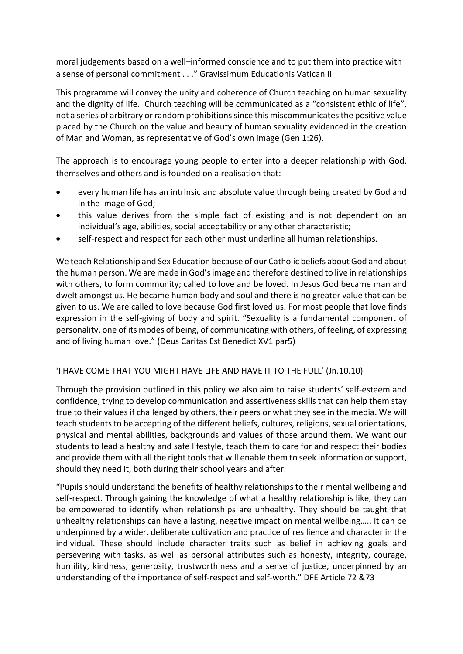moral judgements based on a well–informed conscience and to put them into practice with a sense of personal commitment . . ." Gravissimum Educationis Vatican II

This programme will convey the unity and coherence of Church teaching on human sexuality and the dignity of life. Church teaching will be communicated as a "consistent ethic of life", not a series of arbitrary or random prohibitions since this miscommunicates the positive value placed by the Church on the value and beauty of human sexuality evidenced in the creation of Man and Woman, as representative of God's own image (Gen 1:26).

The approach is to encourage young people to enter into a deeper relationship with God, themselves and others and is founded on a realisation that:

- every human life has an intrinsic and absolute value through being created by God and in the image of God;
- this value derives from the simple fact of existing and is not dependent on an individual's age, abilities, social acceptability or any other characteristic;
- self-respect and respect for each other must underline all human relationships.

We teach Relationship and Sex Education because of our Catholic beliefs about God and about the human person. We are made in God's image and therefore destined to live in relationships with others, to form community; called to love and be loved. In Jesus God became man and dwelt amongst us. He became human body and soul and there is no greater value that can be given to us. We are called to love because God first loved us. For most people that love finds expression in the self-giving of body and spirit. "Sexuality is a fundamental component of personality, one of its modes of being, of communicating with others, of feeling, of expressing and of living human love." (Deus Caritas Est Benedict XV1 par5)

## 'I HAVE COME THAT YOU MIGHT HAVE LIFE AND HAVE IT TO THE FULL' (Jn.10.10)

Through the provision outlined in this policy we also aim to raise students' self-esteem and confidence, trying to develop communication and assertiveness skills that can help them stay true to their values if challenged by others, their peers or what they see in the media. We will teach students to be accepting of the different beliefs, cultures, religions, sexual orientations, physical and mental abilities, backgrounds and values of those around them. We want our students to lead a healthy and safe lifestyle, teach them to care for and respect their bodies and provide them with all the right tools that will enable them to seek information or support, should they need it, both during their school years and after.

"Pupils should understand the benefits of healthy relationships to their mental wellbeing and self-respect. Through gaining the knowledge of what a healthy relationship is like, they can be empowered to identify when relationships are unhealthy. They should be taught that unhealthy relationships can have a lasting, negative impact on mental wellbeing….. It can be underpinned by a wider, deliberate cultivation and practice of resilience and character in the individual. These should include character traits such as belief in achieving goals and persevering with tasks, as well as personal attributes such as honesty, integrity, courage, humility, kindness, generosity, trustworthiness and a sense of justice, underpinned by an understanding of the importance of self-respect and self-worth." DFE Article 72 &73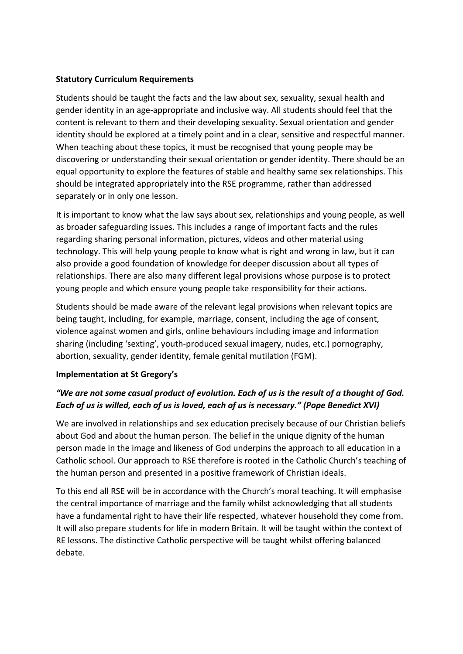#### **Statutory Curriculum Requirements**

Students should be taught the facts and the law about sex, sexuality, sexual health and gender identity in an age-appropriate and inclusive way. All students should feel that the content is relevant to them and their developing sexuality. Sexual orientation and gender identity should be explored at a timely point and in a clear, sensitive and respectful manner. When teaching about these topics, it must be recognised that young people may be discovering or understanding their sexual orientation or gender identity. There should be an equal opportunity to explore the features of stable and healthy same sex relationships. This should be integrated appropriately into the RSE programme, rather than addressed separately or in only one lesson.

It is important to know what the law says about sex, relationships and young people, as well as broader safeguarding issues. This includes a range of important facts and the rules regarding sharing personal information, pictures, videos and other material using technology. This will help young people to know what is right and wrong in law, but it can also provide a good foundation of knowledge for deeper discussion about all types of relationships. There are also many different legal provisions whose purpose is to protect young people and which ensure young people take responsibility for their actions.

Students should be made aware of the relevant legal provisions when relevant topics are being taught, including, for example, marriage, consent, including the age of consent, violence against women and girls, online behaviours including image and information sharing (including 'sexting', youth-produced sexual imagery, nudes, etc.) pornography, abortion, sexuality, gender identity, female genital mutilation (FGM).

## **Implementation at St Gregory's**

# *"We are not some casual product of evolution. Each of us is the result of a thought of God. Each of us is willed, each of us is loved, each of us is necessary." (Pope Benedict XVI)*

We are involved in relationships and sex education precisely because of our Christian beliefs about God and about the human person. The belief in the unique dignity of the human person made in the image and likeness of God underpins the approach to all education in a Catholic school. Our approach to RSE therefore is rooted in the Catholic Church's teaching of the human person and presented in a positive framework of Christian ideals.

To this end all RSE will be in accordance with the Church's moral teaching. It will emphasise the central importance of marriage and the family whilst acknowledging that all students have a fundamental right to have their life respected, whatever household they come from. It will also prepare students for life in modern Britain. It will be taught within the context of RE lessons. The distinctive Catholic perspective will be taught whilst offering balanced debate.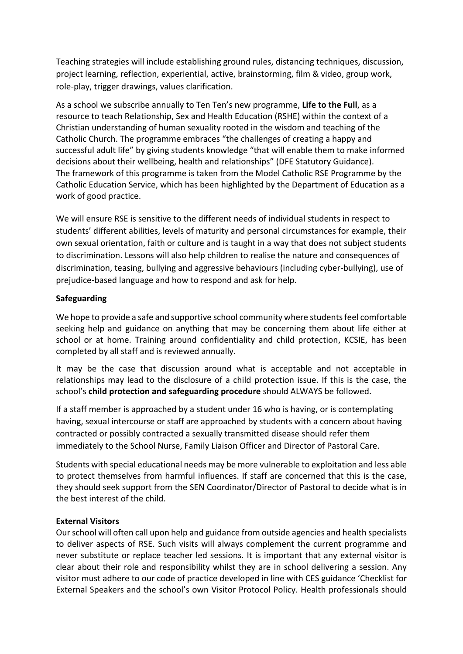Teaching strategies will include establishing ground rules, distancing techniques, discussion, project learning, reflection, experiential, active, brainstorming, film & video, group work, role-play, trigger drawings, values clarification.

As a school we subscribe annually to Ten Ten's new programme, **Life to the Full**, as a resource to teach Relationship, Sex and Health Education (RSHE) within the context of a Christian understanding of human sexuality rooted in the wisdom and teaching of the Catholic Church. The programme embraces "the challenges of creating a happy and successful adult life" by giving students knowledge "that will enable them to make informed decisions about their wellbeing, health and relationships" (DFE Statutory Guidance). The framework of this programme is taken from the Model Catholic RSE Programme by the Catholic Education Service, which has been highlighted by the Department of Education as a work of good practice.

We will ensure RSE is sensitive to the different needs of individual students in respect to students' different abilities, levels of maturity and personal circumstances for example, their own sexual orientation, faith or culture and is taught in a way that does not subject students to discrimination. Lessons will also help children to realise the nature and consequences of discrimination, teasing, bullying and aggressive behaviours (including cyber-bullying), use of prejudice-based language and how to respond and ask for help.

## **Safeguarding**

We hope to provide a safe and supportive school community where students feel comfortable seeking help and guidance on anything that may be concerning them about life either at school or at home. Training around confidentiality and child protection, KCSIE, has been completed by all staff and is reviewed annually.

It may be the case that discussion around what is acceptable and not acceptable in relationships may lead to the disclosure of a child protection issue. If this is the case, the school's **child protection and safeguarding procedure** should ALWAYS be followed.

If a staff member is approached by a student under 16 who is having, or is contemplating having, sexual intercourse or staff are approached by students with a concern about having contracted or possibly contracted a sexually transmitted disease should refer them immediately to the School Nurse, Family Liaison Officer and Director of Pastoral Care.

Students with special educational needs may be more vulnerable to exploitation and less able to protect themselves from harmful influences. If staff are concerned that this is the case, they should seek support from the SEN Coordinator/Director of Pastoral to decide what is in the best interest of the child.

#### **External Visitors**

Our school will often call upon help and guidance from outside agencies and health specialists to deliver aspects of RSE. Such visits will always complement the current programme and never substitute or replace teacher led sessions. It is important that any external visitor is clear about their role and responsibility whilst they are in school delivering a session. Any visitor must adhere to our code of practice developed in line with CES guidance 'Checklist for External Speakers and the school's own Visitor Protocol Policy. Health professionals should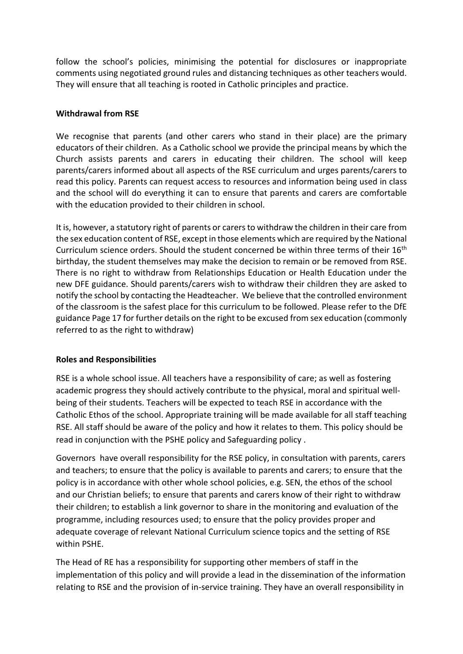follow the school's policies, minimising the potential for disclosures or inappropriate comments using negotiated ground rules and distancing techniques as other teachers would. They will ensure that all teaching is rooted in Catholic principles and practice.

#### **Withdrawal from RSE**

We recognise that parents (and other carers who stand in their place) are the primary educators of their children. As a Catholic school we provide the principal means by which the Church assists parents and carers in educating their children. The school will keep parents/carers informed about all aspects of the RSE curriculum and urges parents/carers to read this policy. Parents can request access to resources and information being used in class and the school will do everything it can to ensure that parents and carers are comfortable with the education provided to their children in school.

It is, however, a statutory right of parents or carers to withdraw the children in their care from the sex education content of RSE, except in those elements which are required by the National Curriculum science orders. Should the student concerned be within three terms of their 16<sup>th</sup> birthday, the student themselves may make the decision to remain or be removed from RSE. There is no right to withdraw from Relationships Education or Health Education under the new DFE guidance. Should parents/carers wish to withdraw their children they are asked to notify the school by contacting the Headteacher. We believe that the controlled environment of the classroom is the safest place for this curriculum to be followed. Please refer to the DfE guidance Page 17 for further details on the right to be excused from sex education (commonly referred to as the right to withdraw)

## **Roles and Responsibilities**

RSE is a whole school issue. All teachers have a responsibility of care; as well as fostering academic progress they should actively contribute to the physical, moral and spiritual wellbeing of their students. Teachers will be expected to teach RSE in accordance with the Catholic Ethos of the school. Appropriate training will be made available for all staff teaching RSE. All staff should be aware of the policy and how it relates to them. This policy should be read in conjunction with the PSHE policy and Safeguarding policy .

Governors have overall responsibility for the RSE policy, in consultation with parents, carers and teachers; to ensure that the policy is available to parents and carers; to ensure that the policy is in accordance with other whole school policies, e.g. SEN, the ethos of the school and our Christian beliefs; to ensure that parents and carers know of their right to withdraw their children; to establish a link governor to share in the monitoring and evaluation of the programme, including resources used; to ensure that the policy provides proper and adequate coverage of relevant National Curriculum science topics and the setting of RSE within PSHE.

The Head of RE has a responsibility for supporting other members of staff in the implementation of this policy and will provide a lead in the dissemination of the information relating to RSE and the provision of in-service training. They have an overall responsibility in